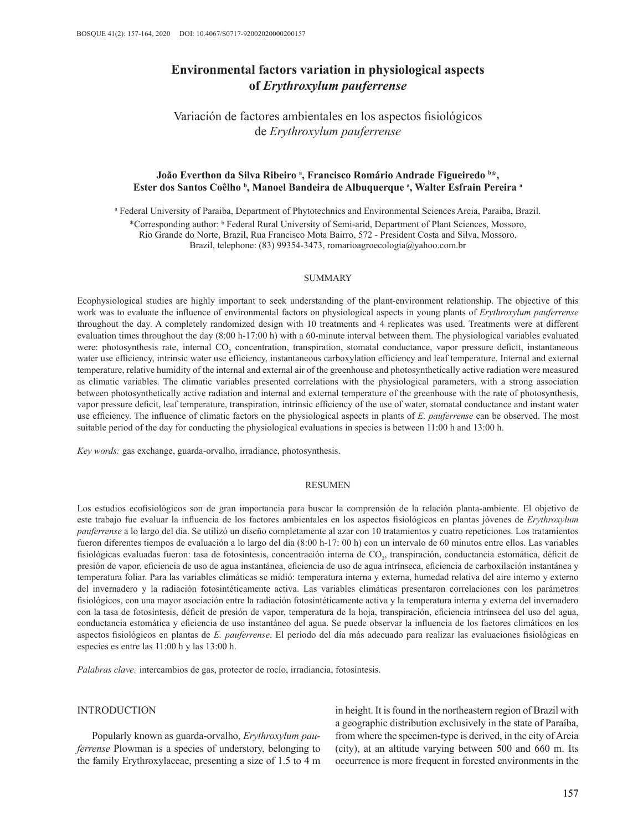# **Environmental factors variation in physiological aspects of** *Erythroxylum pauferrense*

Variación de factores ambientales en los aspectos fisiológicos de *Erythroxylum pauferrense*

### João Everthon da Silva Ribeiro ª, Francisco Romário Andrade Figueiredo b\*, Ester dos Santos Coêlho <sup>b</sup>, Manoel Bandeira de Albuquerque <sup>a</sup>, Walter Esfrain Pereira <sup>a</sup>

a Federal University of Paraiba, Department of Phytotechnics and Environmental Sciences Areia, Paraiba, Brazil.

\*Corresponding author: <sup>b</sup> Federal Rural University of Semi-arid, Department of Plant Sciences, Mossoro, Rio Grande do Norte, Brazil, Rua Francisco Mota Bairro, 572 - President Costa and Silva, Mossoro, Brazil, telephone: (83) 99354-3473, [romarioagroecologia@yahoo.com.br](mailto:romarioagroecologia@yahoo.com.br)

#### SUMMARY

Ecophysiological studies are highly important to seek understanding of the plant-environment relationship. The objective of this work was to evaluate the influence of environmental factors on physiological aspects in young plants of *Erythroxylum pauferrense*  throughout the day. A completely randomized design with 10 treatments and 4 replicates was used. Treatments were at different evaluation times throughout the day (8:00 h-17:00 h) with a 60-minute interval between them. The physiological variables evaluated were: photosynthesis rate, internal  $CO<sub>2</sub>$  concentration, transpiration, stomatal conductance, vapor pressure deficit, instantaneous water use efficiency, intrinsic water use efficiency, instantaneous carboxylation efficiency and leaf temperature. Internal and external temperature, relative humidity of the internal and external air of the greenhouse and photosynthetically active radiation were measured as climatic variables. The climatic variables presented correlations with the physiological parameters, with a strong association between photosynthetically active radiation and internal and external temperature of the greenhouse with the rate of photosynthesis, vapor pressure deficit, leaf temperature, transpiration, intrinsic efficiency of the use of water, stomatal conductance and instant water use efficiency. The influence of climatic factors on the physiological aspects in plants of *E. pauferrense* can be observed. The most suitable period of the day for conducting the physiological evaluations in species is between 11:00 h and 13:00 h.

*Key words:* gas exchange, guarda-orvalho, irradiance, photosynthesis.

#### RESUMEN

Los estudios ecofisiológicos son de gran importancia para buscar la comprensión de la relación planta-ambiente. El objetivo de este trabajo fue evaluar la influencia de los factores ambientales en los aspectos fisiológicos en plantas jóvenes de *Erythroxylum pauferrense* a lo largo del día. Se utilizó un diseño completamente al azar con 10 tratamientos y cuatro repeticiones. Los tratamientos fueron diferentes tiempos de evaluación a lo largo del día (8:00 h-17: 00 h) con un intervalo de 60 minutos entre ellos. Las variables fisiológicas evaluadas fueron: tasa de fotosíntesis, concentración interna de CO<sub>2</sub>, transpiración, conductancia estomática, déficit de presión de vapor, eficiencia de uso de agua instantánea, eficiencia de uso de agua intrínseca, eficiencia de carboxilación instantánea y temperatura foliar. Para las variables climáticas se midió: temperatura interna y externa, humedad relativa del aire interno y externo del invernadero y la radiación fotosintéticamente activa. Las variables climáticas presentaron correlaciones con los parámetros fisiológicos, con una mayor asociación entre la radiación fotosintéticamente activa y la temperatura interna y externa del invernadero con la tasa de fotosíntesis, déficit de presión de vapor, temperatura de la hoja, transpiración, eficiencia intrínseca del uso del agua, conductancia estomática y eficiencia de uso instantáneo del agua. Se puede observar la influencia de los factores climáticos en los aspectos fisiológicos en plantas de *E. pauferrense*. El período del día más adecuado para realizar las evaluaciones fisiológicas en especies es entre las 11:00 h y las 13:00 h.

*Palabras clave:* intercambios de gas, protector de rocío, irradiancia, fotosíntesis.

### INTRODUCTION

Popularly known as guarda-orvalho, *Erythroxylum pauferrense* Plowman is a species of understory, belonging to the family Erythroxylaceae, presenting a size of 1.5 to 4 m

in height. It is found in the northeastern region of Brazil with a geographic distribution exclusively in the state of Paraíba, from where the specimen-type is derived, in the city of Areia (city), at an altitude varying between 500 and 660 m. Its occurrence is more frequent in forested environments in the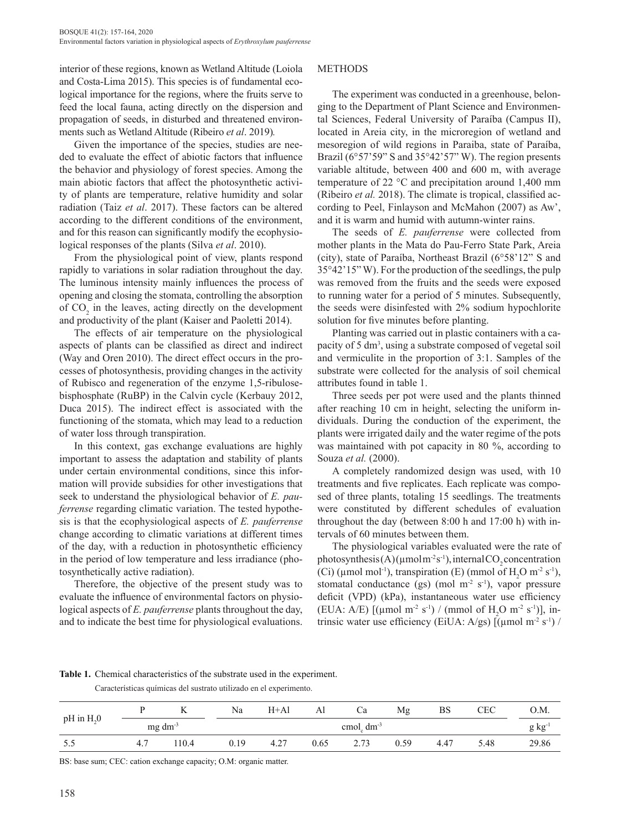interior of these regions, known as Wetland Altitude (Loiola and Costa-Lima 2015). This species is of fundamental ecological importance for the regions, where the fruits serve to feed the local fauna, acting directly on the dispersion and propagation of seeds, in disturbed and threatened environments such as Wetland Altitude (Ribeiro *et al*. 2019)*.*

Given the importance of the species, studies are needed to evaluate the effect of abiotic factors that influence the behavior and physiology of forest species. Among the main abiotic factors that affect the photosynthetic activity of plants are temperature, relative humidity and solar radiation (Taiz *et al*. 2017). These factors can be altered according to the different conditions of the environment, and for this reason can significantly modify the ecophysiological responses of the plants (Silva *et al*. 2010).

From the physiological point of view, plants respond rapidly to variations in solar radiation throughout the day. The luminous intensity mainly influences the process of opening and closing the stomata, controlling the absorption of  $CO<sub>2</sub>$  in the leaves, acting directly on the development and productivity of the plant (Kaiser and Paoletti 2014).

The effects of air temperature on the physiological aspects of plants can be classified as direct and indirect (Way and Oren 2010). The direct effect occurs in the processes of photosynthesis, providing changes in the activity of Rubisco and regeneration of the enzyme 1,5-ribulosebisphosphate (RuBP) in the Calvin cycle (Kerbauy 2012, Duca 2015). The indirect effect is associated with the functioning of the stomata, which may lead to a reduction of water loss through transpiration.

In this context, gas exchange evaluations are highly important to assess the adaptation and stability of plants under certain environmental conditions, since this information will provide subsidies for other investigations that seek to understand the physiological behavior of *E. pauferrense* regarding climatic variation. The tested hypothesis is that the ecophysiological aspects of *E. pauferrense* change according to climatic variations at different times of the day, with a reduction in photosynthetic efficiency in the period of low temperature and less irradiance (photosynthetically active radiation).

Therefore, the objective of the present study was to evaluate the influence of environmental factors on physiological aspects of *E. pauferrense* plants throughout the day, and to indicate the best time for physiological evaluations.

### **METHODS**

The experiment was conducted in a greenhouse, belonging to the Department of Plant Science and Environmental Sciences, Federal University of Paraíba (Campus II), located in Areia city, in the microregion of wetland and mesoregion of wild regions in Paraiba, state of Paraíba, Brazil (6°57'59" S and 35°42'57" W). The region presents variable altitude, between 400 and 600 m, with average temperature of 22 °C and precipitation around 1,400 mm (Ribeiro *et al.* 2018). The climate is tropical, classified according to Peel, Finlayson and McMahon (2007) as Aw', and it is warm and humid with autumn-winter rains.

The seeds of *E. pauferrense* were collected from mother plants in the Mata do Pau-Ferro State Park, Areia (city), state of Paraíba, Northeast Brazil (6°58'12" S and 35°42'15" W). For the production of the seedlings, the pulp was removed from the fruits and the seeds were exposed to running water for a period of 5 minutes. Subsequently, the seeds were disinfested with 2% sodium hypochlorite solution for five minutes before planting.

Planting was carried out in plastic containers with a capacity of 5 dm<sup>3</sup>, using a substrate composed of vegetal soil and vermiculite in the proportion of 3:1. Samples of the substrate were collected for the analysis of soil chemical attributes found in table 1.

Three seeds per pot were used and the plants thinned after reaching 10 cm in height, selecting the uniform individuals. During the conduction of the experiment, the plants were irrigated daily and the water regime of the pots was maintained with pot capacity in 80 %, according to Souza *et al.* (2000).

A completely randomized design was used, with 10 treatments and five replicates. Each replicate was composed of three plants, totaling 15 seedlings. The treatments were constituted by different schedules of evaluation throughout the day (between 8:00 h and 17:00 h) with intervals of 60 minutes between them.

The physiological variables evaluated were the rate of photosynthesis(A)( $\mu$ molm<sup>-2</sup>s<sup>-1</sup>), internal CO<sub>2</sub> concentration (Ci) ( $\mu$ mol mol<sup>-1</sup>), transpiration (E) (mmol of H<sub>2</sub>O m<sup>-2</sup> s<sup>-1</sup>), stomatal conductance (gs) (mol  $m<sup>2</sup>$  s<sup>-1</sup>), vapor pressure deficit (VPD) (kPa), instantaneous water use efficiency (EUA: A/E) [( $\mu$ mol m<sup>-2</sup> s<sup>-1</sup>) / (mmol of H<sub>2</sub>O m<sup>-2</sup> s<sup>-1</sup>)], intrinsic water use efficiency (EiUA:  $A/gs$ ) [( $\mu$ mol m<sup>-2</sup> s<sup>-1</sup>) /

**Table 1.** Chemical characteristics of the substrate used in the experiment.

| Características químicas del sustrato utilizado en el experimento. |  |  |  |
|--------------------------------------------------------------------|--|--|--|
|                                                                    |  |  |  |

| $pH$ in $H20$ |     |                 | Na   | $H+A1$ | Al   | Ċа                                 | Mg   | BS   | CEC  | O.M.  |
|---------------|-----|-----------------|------|--------|------|------------------------------------|------|------|------|-------|
|               |     | $mg \, dm^{-3}$ |      |        |      | cmol <sub>c</sub> dm <sup>-3</sup> |      |      |      | g kg  |
| ر. ر          | 4.7 | 10.4            | 0.19 | 4.27   | 0.65 | 2.73                               | 0.59 | 4.47 | 5.48 | 29.86 |

BS: base sum; CEC: cation exchange capacity; O.M: organic matter.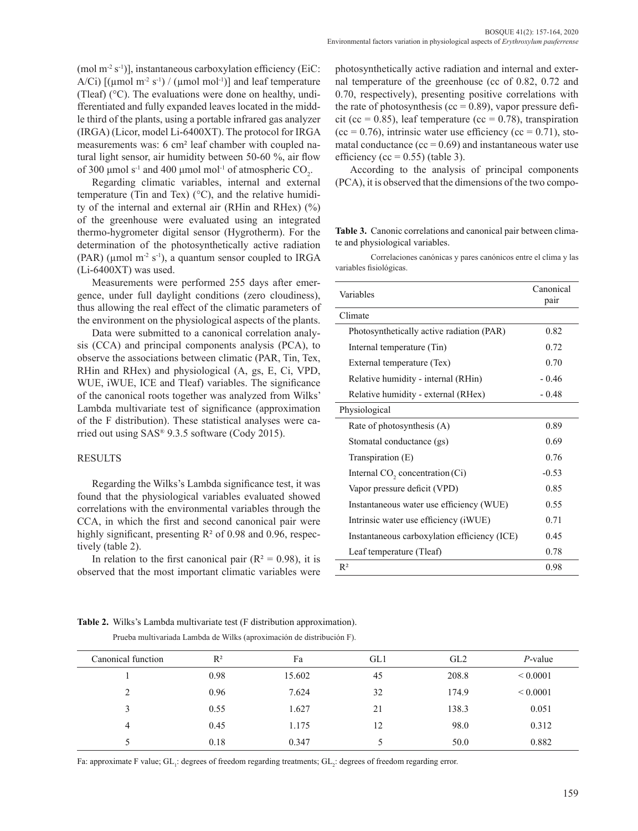(mol  $m^{-2} s^{-1}$ )], instantaneous carboxylation efficiency (EiC: A/Ci)  $[(\mu \text{mol m}^2 \text{ s}^1)/(\mu \text{mol mol}^1)]$  and leaf temperature (Tleaf) (°C). The evaluations were done on healthy, undifferentiated and fully expanded leaves located in the middle third of the plants, using a portable infrared gas analyzer (IRGA) (Licor, model Li-6400XT). The protocol for IRGA measurements was: 6 cm² leaf chamber with coupled natural light sensor, air humidity between 50-60 %, air flow of 300  $\mu$ mol s<sup>-1</sup> and 400  $\mu$ mol mol<sup>-1</sup> of atmospheric CO<sub>2</sub>.

Regarding climatic variables, internal and external temperature (Tin and Tex) (°C), and the relative humidity of the internal and external air (RHin and RHex) (%) of the greenhouse were evaluated using an integrated thermo-hygrometer digital sensor (Hygrotherm). For the determination of the photosynthetically active radiation (PAR) ( $\mu$ mol m<sup>-2</sup> s<sup>-1</sup>), a quantum sensor coupled to IRGA (Li-6400XT) was used.

Measurements were performed 255 days after emergence, under full daylight conditions (zero cloudiness), thus allowing the real effect of the climatic parameters of the environment on the physiological aspects of the plants.

Data were submitted to a canonical correlation analysis (CCA) and principal components analysis (PCA), to observe the associations between climatic (PAR, Tin, Tex, RHin and RHex) and physiological (A, gs, E, Ci, VPD, WUE, iWUE, ICE and Tleaf) variables. The significance of the canonical roots together was analyzed from Wilks' Lambda multivariate test of significance (approximation of the F distribution). These statistical analyses were carried out using SAS® 9.3.5 software (Cody 2015).

#### RESULTS

Regarding the Wilks's Lambda significance test, it was found that the physiological variables evaluated showed correlations with the environmental variables through the CCA, in which the first and second canonical pair were highly significant, presenting  $R^2$  of 0.98 and 0.96, respectively (table 2).

In relation to the first canonical pair  $(R^2 = 0.98)$ , it is observed that the most important climatic variables were photosynthetically active radiation and internal and external temperature of the greenhouse (cc of 0.82, 0.72 and 0.70, respectively), presenting positive correlations with the rate of photosynthesis ( $cc = 0.89$ ), vapor pressure deficit (cc = 0.85), leaf temperature (cc = 0.78), transpiration  $(cc = 0.76)$ , intrinsic water use efficiency  $(cc = 0.71)$ , stomatal conductance ( $cc = 0.69$ ) and instantaneous water use efficiency (cc =  $0.55$ ) (table 3).

According to the analysis of principal components (PCA), it is observed that the dimensions of the two compo-

**Table 3.** Canonic correlations and canonical pair between climate and physiological variables.

Correlaciones canónicas y pares canónicos entre el clima y las variables fisiológicas.

| Variables                                    | Canonical<br>pair |  |  |  |  |  |
|----------------------------------------------|-------------------|--|--|--|--|--|
| Climate                                      |                   |  |  |  |  |  |
| Photosynthetically active radiation (PAR)    | 0.82              |  |  |  |  |  |
| Internal temperature (Tin)                   | 0.72              |  |  |  |  |  |
| External temperature (Tex)                   | 0.70              |  |  |  |  |  |
| Relative humidity - internal (RHin)          | $-0.46$           |  |  |  |  |  |
| Relative humidity - external (RHex)          | $-0.48$           |  |  |  |  |  |
| Physiological                                |                   |  |  |  |  |  |
| Rate of photosynthesis (A)                   | 0.89              |  |  |  |  |  |
| Stomatal conductance (gs)                    | 0.69              |  |  |  |  |  |
| Transpiration $(E)$                          | 0.76              |  |  |  |  |  |
| Internal $CO$ , concentration $(Ci)$         | $-0.53$           |  |  |  |  |  |
| Vapor pressure deficit (VPD)                 | 0.85              |  |  |  |  |  |
| Instantaneous water use efficiency (WUE)     | 0.55              |  |  |  |  |  |
| Intrinsic water use efficiency (iWUE)        | 0.71              |  |  |  |  |  |
| Instantaneous carboxylation efficiency (ICE) | 0.45              |  |  |  |  |  |
| Leaf temperature (Tleaf)                     | 0.78              |  |  |  |  |  |
| $R^2$                                        | 0.98              |  |  |  |  |  |

**Table 2.** Wilks's Lambda multivariate test (F distribution approximation).

Prueba multivariada Lambda de Wilks (aproximación de distribución F).

| Canonical function      | $R^2$ | Fa     | GL1 | GL2   | $P$ -value    |
|-------------------------|-------|--------|-----|-------|---------------|
|                         | 0.98  | 15.602 | 45  | 208.8 | ${}_{0.0001}$ |
| $\mathcal{D}$           | 0.96  | 7.624  | 32  | 174.9 | ${}_{0.0001}$ |
| $\mathbf{\overline{3}}$ | 0.55  | 1.627  | 21  | 138.3 | 0.051         |
| 4                       | 0.45  | 1.175  | 12  | 98.0  | 0.312         |
|                         | 0.18  | 0.347  |     | 50.0  | 0.882         |

Fa: approximate F value;  $GL_1$ : degrees of freedom regarding treatments;  $GL_2$ : degrees of freedom regarding error.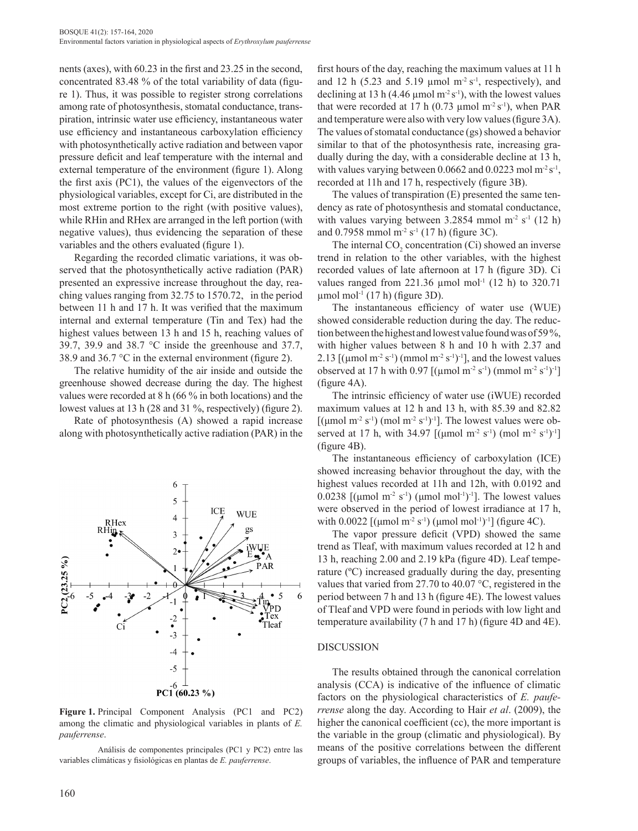nents (axes), with 60.23 in the first and 23.25 in the second, concentrated 83.48 % of the total variability of data (figure 1). Thus, it was possible to register strong correlations among rate of photosynthesis, stomatal conductance, transpiration, intrinsic water use efficiency, instantaneous water use efficiency and instantaneous carboxylation efficiency with photosynthetically active radiation and between vapor pressure deficit and leaf temperature with the internal and external temperature of the environment (figure 1). Along the first axis (PC1), the values of the eigenvectors of the physiological variables, except for Ci, are distributed in the most extreme portion to the right (with positive values), while RHin and RHex are arranged in the left portion (with negative values), thus evidencing the separation of these variables and the others evaluated (figure 1).

Regarding the recorded climatic variations, it was observed that the photosynthetically active radiation (PAR) presented an expressive increase throughout the day, reaching values ranging from 32.75 to 1570.72, in the period between 11 h and 17 h. It was verified that the maximum internal and external temperature (Tin and Tex) had the highest values between 13 h and 15 h, reaching values of 39.7, 39.9 and 38.7 °C inside the greenhouse and 37.7, 38.9 and 36.7 °C in the external environment (figure 2).

The relative humidity of the air inside and outside the greenhouse showed decrease during the day. The highest values were recorded at 8 h (66 % in both locations) and the lowest values at 13 h (28 and 31 %, respectively) (figure 2).

Rate of photosynthesis (A) showed a rapid increase along with photosynthetically active radiation (PAR) in the



**Figure 1.** Principal Component Analysis (PC1 and PC2) among the climatic and physiological variables in plants of *E. pauferrense*.

Análisis de componentes principales (PC1 y PC2) entre las variables climáticas y fisiológicas en plantas de *E. pauferrense*.

first hours of the day, reaching the maximum values at 11 h and 12 h (5.23 and 5.19  $\mu$ mol m<sup>-2</sup> s<sup>-1</sup>, respectively), and declining at 13 h (4.46 µmol  $m<sup>2</sup> s<sup>-1</sup>$ ), with the lowest values that were recorded at 17 h  $(0.73 \text{ \mu mol m}^2 \text{ s}^{-1})$ , when PAR and temperature were also with very low values (figure 3A). The values of stomatal conductance (gs) showed a behavior similar to that of the photosynthesis rate, increasing gradually during the day, with a considerable decline at 13 h, with values varying between 0.0662 and 0.0223 mol  $m^2 s^{-1}$ , recorded at 11h and 17 h, respectively (figure 3B).

The values of transpiration (E) presented the same tendency as rate of photosynthesis and stomatal conductance, with values varying between  $3.2854$  mmol m<sup>-2</sup> s<sup>-1</sup> (12 h) and 0.7958 mmol m<sup>-2</sup> s<sup>-1</sup> (17 h) (figure 3C).

The internal  $CO_2$  concentration (Ci) showed an inverse trend in relation to the other variables, with the highest recorded values of late afternoon at 17 h (figure 3D). Ci values ranged from  $221.36 \mu$  mol mol<sup>-1</sup> (12 h) to 320.71  $\mu$ mol mol<sup>-1</sup> (17 h) (figure 3D).

The instantaneous efficiency of water use (WUE) showed considerable reduction during the day. The reduction between the highest and lowest value found was of 59 %, with higher values between 8 h and 10 h with 2.37 and 2.13  $[(\mu \text{mol m}^2 \text{ s}^{-1}) (\text{mmol m}^2 \text{ s}^{-1})^{-1}]$ , and the lowest values observed at 17 h with 0.97 [( $\mu$ mol m<sup>-2</sup> s<sup>-1</sup>) (mmol m<sup>-2</sup> s<sup>-1</sup>)<sup>-1</sup>] (figure 4A).

The intrinsic efficiency of water use (iWUE) recorded maximum values at 12 h and 13 h, with 85.39 and 82.82 [( $\mu$ mol m<sup>-2</sup> s<sup>-1</sup>) (mol m<sup>-2</sup> s<sup>-1</sup>)<sup>-1</sup>]. The lowest values were observed at 17 h, with 34.97 [( $\mu$ mol m<sup>-2</sup> s<sup>-1</sup>) (mol m<sup>-2</sup> s<sup>-1</sup>)<sup>-1</sup>] (figure 4B).

The instantaneous efficiency of carboxylation (ICE) showed increasing behavior throughout the day, with the highest values recorded at 11h and 12h, with 0.0192 and 0.0238  $\lceil$ (µmol m<sup>-2</sup> s<sup>-1</sup>) (µmol mol<sup>-1</sup>)<sup>-1</sup>]. The lowest values were observed in the period of lowest irradiance at 17 h, with 0.0022  $[(\mu \text{mol m}^2 \text{ s}^{-1}) (\mu \text{mol mol}^{-1})^{-1}]$  (figure 4C).

The vapor pressure deficit (VPD) showed the same trend as Tleaf, with maximum values recorded at 12 h and 13 h, reaching 2.00 and 2.19 kPa (figure 4D). Leaf temperature (ºC) increased gradually during the day, presenting values that varied from 27.70 to 40.07 °C, registered in the period between 7 h and 13 h (figure 4E). The lowest values of Tleaf and VPD were found in periods with low light and temperature availability (7 h and 17 h) (figure 4D and 4E).

#### DISCUSSION

The results obtained through the canonical correlation analysis (CCA) is indicative of the influence of climatic factors on the physiological characteristics of *E. pauferrense* along the day. According to Hair *et al*. (2009), the higher the canonical coefficient (cc), the more important is the variable in the group (climatic and physiological). By means of the positive correlations between the different groups of variables, the influence of PAR and temperature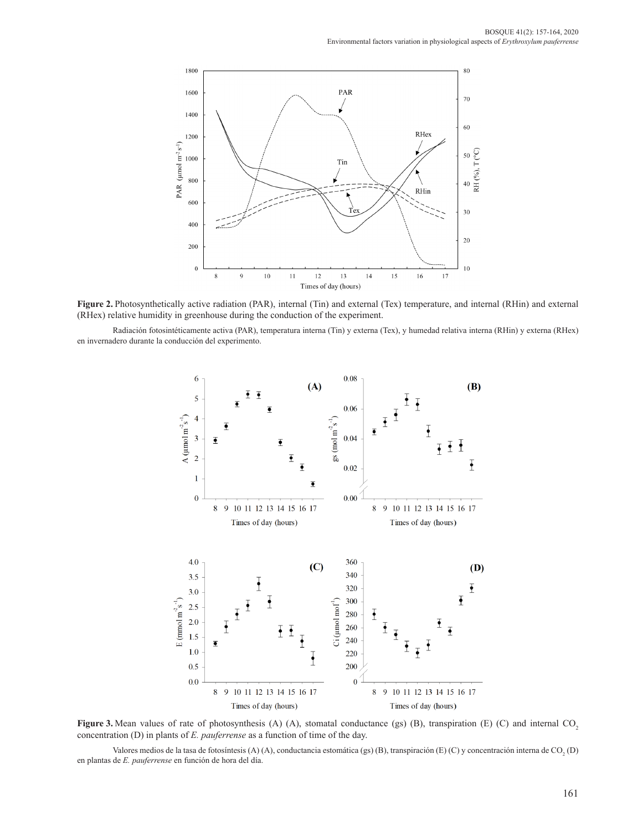

**Figure 2.** Photosynthetically active radiation (PAR), internal (Tin) and external (Tex) temperature, and internal (RHin) and external (RHex) relative humidity in greenhouse during the conduction of the experiment.

Radiación fotosintéticamente activa (PAR), temperatura interna (Tin) y externa (Tex), y humedad relativa interna (RHin) y externa (RHex) en invernadero durante la conducción del experimento.



**Figure 3.** Mean values of rate of photosynthesis (A) (A), stomatal conductance (gs) (B), transpiration (E) (C) and internal CO<sub>2</sub> concentration (D) in plants of *E. pauferrense* as a function of time of the day.

Valores medios de la tasa de fotosíntesis (A) (A), conductancia estomática (gs) (B), transpiración (E) (C) y concentración interna de CO<sub>2</sub> (D) en plantas de *E. pauferrense* en función de hora del día.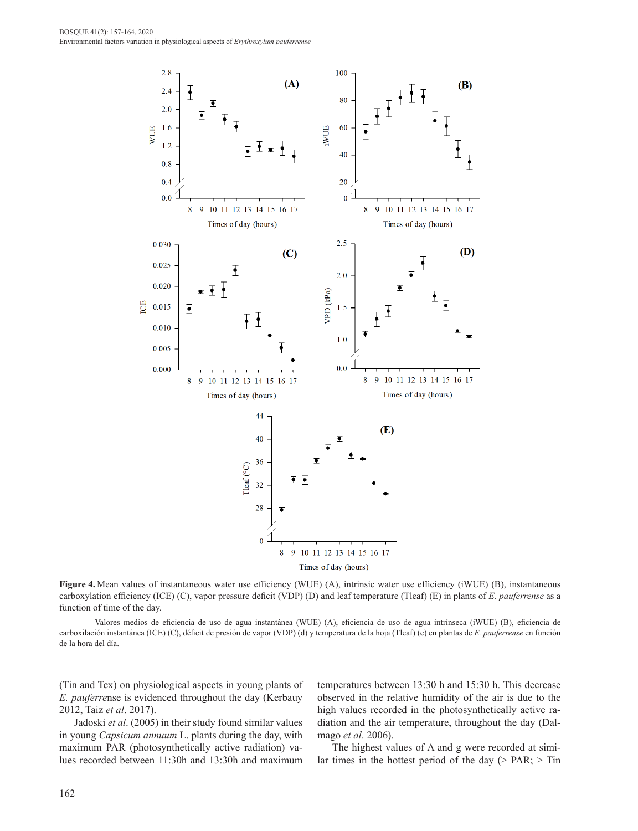

**Figure 4.** Mean values of instantaneous water use efficiency (WUE) (A), intrinsic water use efficiency (iWUE) (B), instantaneous carboxylation efficiency (ICE) (C), vapor pressure deficit (VDP) (D) and leaf temperature (Tleaf) (E) in plants of *E. pauferrense* as a function of time of the day.

Valores medios de eficiencia de uso de agua instantánea (WUE) (A), eficiencia de uso de agua intrínseca (iWUE) (B), eficiencia de carboxilación instantánea (ICE) (C), déficit de presión de vapor (VDP) (d) y temperatura de la hoja (Tleaf) (e) en plantas de *E. pauferrense* en función de la hora del día.

(Tin and Tex) on physiological aspects in young plants of *E. pauferre*nse is evidenced throughout the day (Kerbauy 2012, Taiz *et al*. 2017).

Jadoski *et al*. (2005) in their study found similar values in young *Capsicum annuum* L. plants during the day, with maximum PAR (photosynthetically active radiation) values recorded between 11:30h and 13:30h and maximum temperatures between 13:30 h and 15:30 h. This decrease observed in the relative humidity of the air is due to the high values recorded in the photosynthetically active radiation and the air temperature, throughout the day (Dalmago *et al*. 2006).

The highest values of A and g were recorded at similar times in the hottest period of the day ( $>$  PAR;  $>$  Tin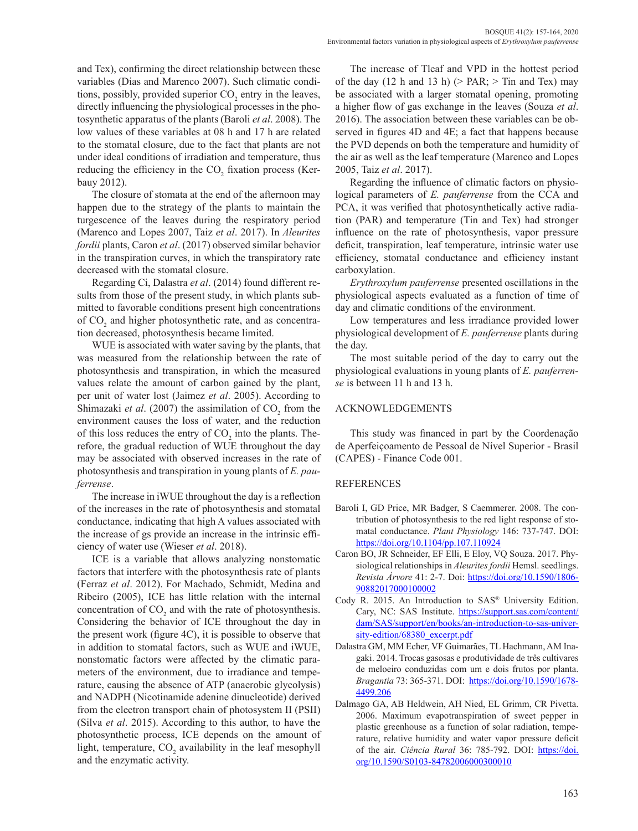and Tex), confirming the direct relationship between these variables (Dias and Marenco 2007). Such climatic conditions, possibly, provided superior  $CO<sub>2</sub>$  entry in the leaves, directly influencing the physiological processes in the photosynthetic apparatus of the plants (Baroli *et al*. 2008). The low values of these variables at 08 h and 17 h are related to the stomatal closure, due to the fact that plants are not under ideal conditions of irradiation and temperature, thus reducing the efficiency in the  $CO<sub>2</sub>$  fixation process (Kerbauy 2012).

The closure of stomata at the end of the afternoon may happen due to the strategy of the plants to maintain the turgescence of the leaves during the respiratory period (Marenco and Lopes 2007, Taiz *et al*. 2017). In *Aleurites fordii* plants, Caron *et al*. (2017) observed similar behavior in the transpiration curves, in which the transpiratory rate decreased with the stomatal closure.

Regarding Ci, Dalastra *et al*. (2014) found different results from those of the present study, in which plants submitted to favorable conditions present high concentrations of  $CO<sub>2</sub>$  and higher photosynthetic rate, and as concentration decreased, photosynthesis became limited.

WUE is associated with water saving by the plants, that was measured from the relationship between the rate of photosynthesis and transpiration, in which the measured values relate the amount of carbon gained by the plant, per unit of water lost (Jaimez *et al*. 2005). According to Shimazaki *et al.* (2007) the assimilation of  $CO_2$  from the environment causes the loss of water, and the reduction of this loss reduces the entry of  $CO<sub>2</sub>$  into the plants. Therefore, the gradual reduction of WUE throughout the day may be associated with observed increases in the rate of photosynthesis and transpiration in young plants of *E. pauferrense*.

The increase in iWUE throughout the day is a reflection of the increases in the rate of photosynthesis and stomatal conductance, indicating that high A values associated with the increase of gs provide an increase in the intrinsic efficiency of water use (Wieser *et al*. 2018).

ICE is a variable that allows analyzing nonstomatic factors that interfere with the photosynthesis rate of plants (Ferraz *et al*. 2012). For Machado, Schmidt, Medina and Ribeiro (2005), ICE has little relation with the internal concentration of  $CO<sub>2</sub>$  and with the rate of photosynthesis. Considering the behavior of ICE throughout the day in the present work (figure 4C), it is possible to observe that in addition to stomatal factors, such as WUE and iWUE, nonstomatic factors were affected by the climatic parameters of the environment, due to irradiance and temperature, causing the absence of ATP (anaerobic glycolysis) and NADPH (Nicotinamide adenine dinucleotide) derived from the electron transport chain of photosystem II (PSII) (Silva *et al*. 2015). According to this author, to have the photosynthetic process, ICE depends on the amount of light, temperature,  $CO_2$  availability in the leaf mesophyll and the enzymatic activity.

The increase of Tleaf and VPD in the hottest period of the day (12 h and 13 h) ( $>$  PAR;  $>$  Tin and Tex) may be associated with a larger stomatal opening, promoting a higher flow of gas exchange in the leaves (Souza *et al*. 2016). The association between these variables can be observed in figures 4D and 4E; a fact that happens because the PVD depends on both the temperature and humidity of the air as well as the leaf temperature (Marenco and Lopes 2005, Taiz *et al*. 2017).

Regarding the influence of climatic factors on physiological parameters of *E. pauferrense* from the CCA and PCA, it was verified that photosynthetically active radiation (PAR) and temperature (Tin and Tex) had stronger influence on the rate of photosynthesis, vapor pressure deficit, transpiration, leaf temperature, intrinsic water use efficiency, stomatal conductance and efficiency instant carboxylation.

*Erythroxylum pauferrense* presented oscillations in the physiological aspects evaluated as a function of time of day and climatic conditions of the environment.

Low temperatures and less irradiance provided lower physiological development of *E. pauferrense* plants during the day.

The most suitable period of the day to carry out the physiological evaluations in young plants of *E. pauferrense* is between 11 h and 13 h.

## ACKNOWLEDGEMENTS

This study was financed in part by the Coordenação de Aperfeiçoamento de Pessoal de Nível Superior - Brasil (CAPES) - Finance Code 001.

### REFERENCES

- Baroli I, GD Price, MR Badger, S Caemmerer. 2008. The contribution of photosynthesis to the red light response of stomatal conductance. *Plant Physiology* 146: 737-747. DOI: <https://doi.org/10.1104/pp.107.110924>
- Caron BO, JR Schneider, EF Elli, E Eloy, VQ Souza. 2017. Physiological relationships in *Aleurites fordii* Hemsl. seedlings. *Revista Árvore* 41: 2-7. Doi: [https://doi.org/10.1590/1806-](https://doi.org/10.1590/1806-90882017000100002) [90882017000100002](https://doi.org/10.1590/1806-90882017000100002)
- Cody R. 2015. An Introduction to SAS® University Edition. Cary, NC: SAS Institute. [https://support.sas.com/content/](https://support.sas.com/content/dam/SAS/support/en/books/an-introduction-to-sas-university-edition/68380_excerpt.pdf) [dam/SAS/support/en/books/an-introduction-to-sas-univer](https://support.sas.com/content/dam/SAS/support/en/books/an-introduction-to-sas-university-edition/68380_excerpt.pdf)[sity-edition/68380\\_excerpt.pdf](https://support.sas.com/content/dam/SAS/support/en/books/an-introduction-to-sas-university-edition/68380_excerpt.pdf)
- Dalastra GM, MM Echer, VF Guimarães, TL Hachmann, AM Inagaki. 2014. Trocas gasosas e produtividade de três cultivares de meloeiro conduzidas com um e dois frutos por planta. *Bragantia* 73: 365-371. DOI: [https://doi.org/10.1590/1678-](https://doi.org/10.1590/1678-4499.206) [4499.206](https://doi.org/10.1590/1678-4499.206)
- Dalmago GA, AB Heldwein, AH Nied, EL Grimm, CR Pivetta. 2006. Maximum evapotranspiration of sweet pepper in plastic greenhouse as a function of solar radiation, temperature, relative humidity and water vapor pressure deficit of the air. *Ciência Rural* 36: 785-792. DOI: [https://doi.](https://doi.org/10.1590/S0103-84782006000300010) [org/10.1590/S0103-84782006000300010](https://doi.org/10.1590/S0103-84782006000300010)